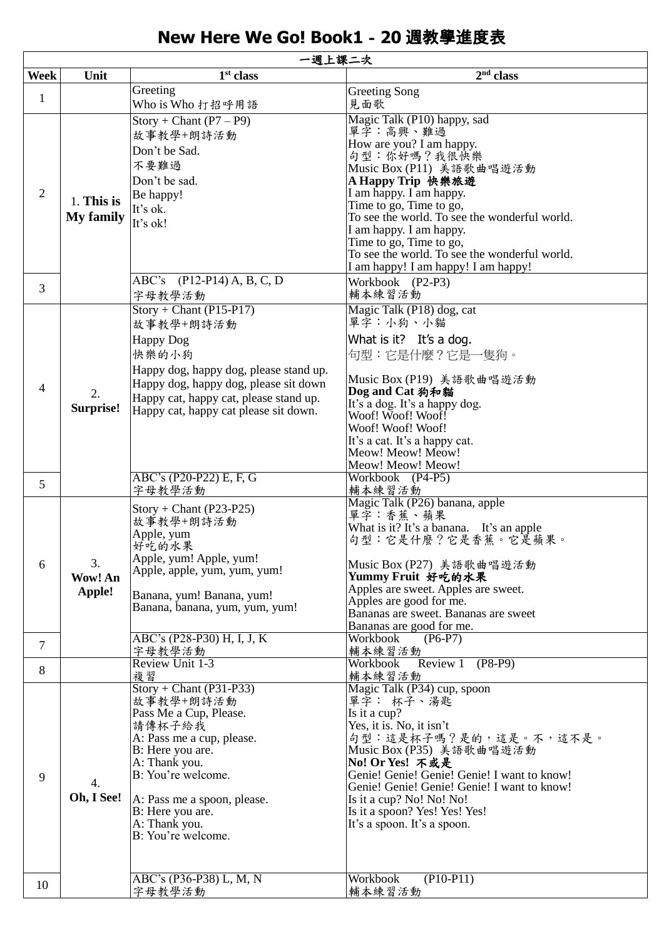## **New Here We Go! Book1**-**20** 週教學進度表

| 一週上課二次         |                                |                                                                                                                                                                                                                                                                    |                                                                                                                                                                                                                                                                                                                                                                                                              |
|----------------|--------------------------------|--------------------------------------------------------------------------------------------------------------------------------------------------------------------------------------------------------------------------------------------------------------------|--------------------------------------------------------------------------------------------------------------------------------------------------------------------------------------------------------------------------------------------------------------------------------------------------------------------------------------------------------------------------------------------------------------|
| Week           | Unit                           | $1st$ class                                                                                                                                                                                                                                                        | 2 <sup>nd</sup> class                                                                                                                                                                                                                                                                                                                                                                                        |
| $\mathbf{1}$   |                                | Greeting<br>Who is Who 打招呼用語                                                                                                                                                                                                                                       | <b>Greeting Song</b><br>見面歌                                                                                                                                                                                                                                                                                                                                                                                  |
| $\overline{2}$ | 1. This is<br><b>My family</b> | $Story + Chant (P7 – P9)$<br>故事教學+朗詩活動<br>Don't be Sad.<br>不要難過<br>Don't be sad.<br>Be happy!<br>It's ok.<br>It's ok!<br>ABC's (P12-P14) A, B, C, D                                                                                                                | Magic Talk (P10) happy, sad<br>單字:高興、難過<br>How are you? I am happy.<br>句型:你好嗎?我很快樂<br>Music Box (P11) 美語歌曲唱遊活動<br>A Happy Trip 快樂旅遊<br>I am happy. I am happy.<br>Time to go, Time to go,<br>To see the world. To see the wonderful world.<br>I am happy. I am happy.<br>Time to go, Time to go,<br>To see the world. To see the wonderful world.<br>I am happy! I am happy! I am happy!<br>Workbook (P2-P3) |
| 3              |                                | 字母教學活動                                                                                                                                                                                                                                                             | 輔本練習活動                                                                                                                                                                                                                                                                                                                                                                                                       |
| 4              | 2.<br>Surprise!                | $Story + Chant (P15-P17)$<br>故事教學+朗詩活動<br><b>Happy Dog</b><br>快樂的小狗<br>Happy dog, happy dog, please stand up.<br>Happy dog, happy dog, please sit down<br>Happy cat, happy cat, please stand up.<br>Happy cat, happy cat please sit down.                          | Magic Talk (P18) dog, cat<br>單字:小狗、小貓<br>What is it? It's a dog.<br>句型:它是什麼?它是一隻狗。<br>Music Box (P19) 美語歌曲唱遊活動<br>Dog and Cat 狗和貓<br>It's a dog. It's a happy dog.<br>Woof! Woof! Woof!<br>Woof! Woof! Woof!<br>It's a cat. It's a happy cat.<br>Meow! Meow! Meow!<br>Meow! Meow! Meow!                                                                                                                      |
| 5              |                                | ABC's (P20-P22) E, F, G<br>字母教學活動                                                                                                                                                                                                                                  | Workbook (P4-P5)<br>輔本練習活動                                                                                                                                                                                                                                                                                                                                                                                   |
| 6              | 3.<br>Wow! An<br>Apple!        | $Story + Chant (P23-P25)$<br>故事教學+朗詩活動<br>Apple, yum<br>好吃的水果<br>Apple, yum! Apple, yum!<br>Apple, apple, yum, yum, yum!<br>Banana, yum! Banana, yum!<br>Banana, banana, yum, yum, yum!                                                                            | Magic Talk (P26) banana, apple<br>單字:香蕉、蘋果<br>What is it? It's a banana. It's an apple<br>句型:它是什麼?它是香蕉。它是蘋果。<br>Music Box (P27) 美語歌曲唱遊活動<br>Yummy Fruit 好吃的水果<br>Apples are sweet. Apples are sweet.<br>Apples are good for me.<br>Bananas are sweet. Bananas are sweet<br>Bananas are good for me.                                                                                                          |
| 7              |                                | ABC's (P28-P30) H, I, J, K<br>字母教學活動                                                                                                                                                                                                                               | Workbook<br>$(P6-P7)$<br>輔本練習活動                                                                                                                                                                                                                                                                                                                                                                              |
| 8              |                                | Review Unit 1-3                                                                                                                                                                                                                                                    | Review 1<br>$(P8-P9)$<br>Workbook                                                                                                                                                                                                                                                                                                                                                                            |
| 9              | 4.<br>Oh, I See!               | 複習<br>$Story + Chant (P31-P33)$<br>故事教學+朗詩活動<br>Pass Me a Cup, Please.<br>請傳杯子給我<br>A: Pass me a cup, please.<br>B: Here you are.<br>A: Thank you.<br>B: You're welcome.<br>A: Pass me a spoon, please.<br>B: Here you are.<br>A: Thank you.<br>B: You're welcome. | 輔本練習活動<br>Magic Talk (P34) cup, spoon<br>單字: 杯子、湯匙<br>Is it a cup?<br>Yes, it is. No, it isn't<br>句型:這是杯子嗎?是的,這是。不,這不是。<br>Music Box (P35) 美語歌曲唱遊活動<br>No! Or Yes! 不或是<br>Genie! Genie! Genie! Genie! I want to know!<br>Genie! Genie! Genie! Genie! I want to know!<br>Is it a cup? No! No! No!<br>Is it a spoon? Yes! Yes! Yes!<br>It's a spoon. It's a spoon.                                             |
| 10             |                                | ABC's (P36-P38) L, M, N<br>字母教學活動                                                                                                                                                                                                                                  | $(P10-P11)$<br>Workbook<br>輔本練習活動                                                                                                                                                                                                                                                                                                                                                                            |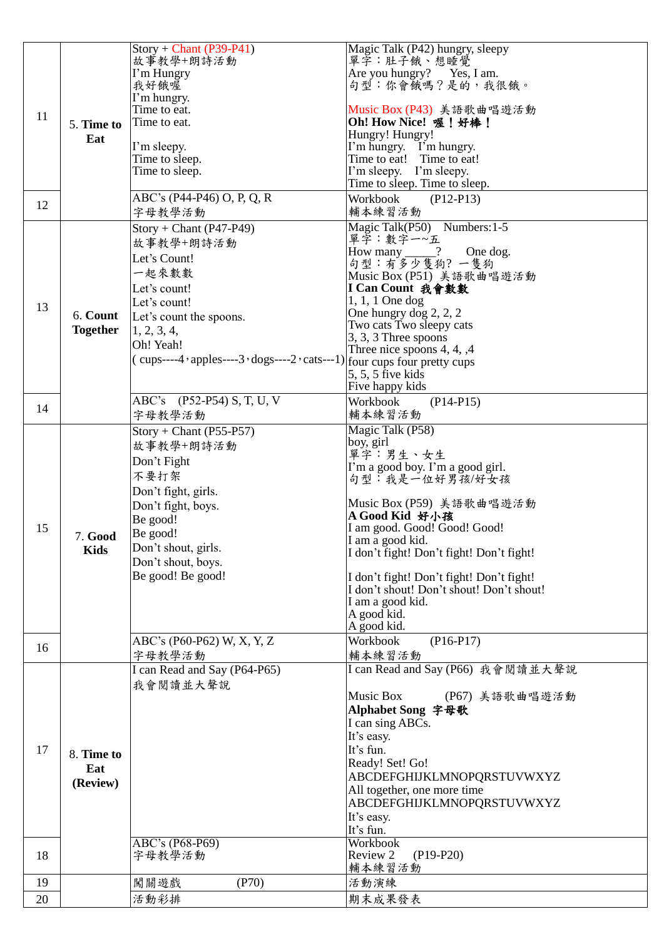|    |                 | $Story + Chant (P39-P41)$                                   | Magic Talk (P42) hungry, sleepy                     |
|----|-----------------|-------------------------------------------------------------|-----------------------------------------------------|
|    |                 | 故事教學+朗詩活動                                                   | 單字:肚子餓、想睡覺                                          |
|    |                 | I'm Hungry                                                  | Are you hungry? Yes, I am.                          |
|    |                 | 我好餓喔                                                        | 句型:你會餓嗎?是的,我很餓。                                     |
|    |                 | I'm hungry.                                                 |                                                     |
|    |                 | Time to eat.                                                | Music Box (P43) 美語歌曲唱遊活動                            |
| 11 | 5. Time to      | Time to eat.                                                | Oh! How Nice! 喔! 好棒!                                |
|    | Eat             |                                                             | Hungry! Hungry!                                     |
|    |                 | I'm sleepy.                                                 | I'm hungry. I'm hungry.                             |
|    |                 | Time to sleep.                                              | Time to eat! Time to eat!                           |
|    |                 | Time to sleep.                                              | I'm sleepy. I'm sleepy.                             |
|    |                 |                                                             | Time to sleep. Time to sleep.                       |
|    |                 | ABC's (P44-P46) O, P, Q, R                                  | Workbook<br>$(P12-P13)$                             |
| 12 |                 | 字母教學活動                                                      | 輔本練習活動                                              |
|    |                 |                                                             |                                                     |
|    |                 | $Story + Chant (P47-P49)$                                   | Magic Talk(P50) Numbers: 1-5<br>單字:數字一~五            |
|    |                 | 故事教學+朗詩活動                                                   |                                                     |
|    |                 | Let's Count!                                                | How many $\_\_\_\$ ?<br>One dog.<br>句型:有多少隻狗?一隻狗    |
|    |                 | 一起來數數                                                       | Music Box (P51) 美語歌曲唱遊活動                            |
|    |                 | Let's count!                                                |                                                     |
|    |                 |                                                             | I Can Count 我會數數                                    |
| 13 |                 | Let's count!                                                | $1, 1, 1$ One dog                                   |
|    | 6. Count        | Let's count the spoons.                                     | One hungry dog 2, 2, 2                              |
|    | <b>Together</b> | 1, 2, 3, 4,                                                 | Two cats Two sleepy cats                            |
|    |                 | Oh! Yeah!                                                   | 3, 3, 3 Three spoons<br>Three nice spoons $4, 4, 4$ |
|    |                 | $(cups---4 \cdot apples---3 \cdot dogs---2 \cdot cats---1)$ | four cups four pretty cups                          |
|    |                 |                                                             | 5, 5, 5 five kids                                   |
|    |                 |                                                             | Five happy kids                                     |
|    |                 |                                                             |                                                     |
| 14 |                 | ABC's (P52-P54) S, T, U, V                                  | Workbook<br>$(P14-P15)$                             |
|    |                 | 字母教學活動                                                      | 輔本練習活動                                              |
|    |                 | $Story + Chant (P55-P57)$                                   | Magic Talk (P58)                                    |
|    |                 | 故事教學+朗詩活動                                                   | boy, girl                                           |
|    |                 | Don't Fight                                                 | 單字:男生、女生                                            |
|    |                 |                                                             | I'm a good boy. I'm a good girl.                    |
|    |                 | 不要打架                                                        | 句型:我是一位好男孩/好女孩                                      |
|    |                 | Don't fight, girls.                                         |                                                     |
|    |                 | Don't fight, boys.                                          | Music Box (P59) 美語歌曲唱遊活動                            |
|    |                 | Be good!                                                    | A Good Kid 好小孩                                      |
| 15 | <b>7. Good</b>  | Be good!                                                    | I am good. Good! Good! Good!                        |
|    | <b>Kids</b>     | Don't shout, girls.                                         | I am a good kid.                                    |
|    |                 | Don't shout, boys.                                          | I don't fight! Don't fight! Don't fight!            |
|    |                 | Be good! Be good!                                           |                                                     |
|    |                 |                                                             | I don't fight! Don't fight! Don't fight!            |
|    |                 |                                                             | I don't shout! Don't shout! Don't shout!            |
|    |                 |                                                             | I am a good kid.                                    |
|    |                 |                                                             | A good kid.<br>A good kid.                          |
|    |                 |                                                             |                                                     |
| 16 |                 | ABC's (P60-P62) W, X, Y, Z                                  | Workbook<br>$(P16-P17)$                             |
|    |                 | 字母教學活動                                                      | 輔本練習活動                                              |
|    |                 | I can Read and Say (P64-P65)                                | I can Read and Say (P66) 我會閱讀並大聲說                   |
|    |                 | 我會閱讀並大聲說                                                    |                                                     |
|    |                 |                                                             | Music Box<br>(P67) 美語歌曲唱遊活動                         |
|    |                 |                                                             | Alphabet Song 字母歌                                   |
|    |                 |                                                             | I can sing ABCs.                                    |
|    |                 |                                                             | It's easy.                                          |
| 17 | 8. Time to      |                                                             | It's fun.                                           |
|    |                 |                                                             | Ready! Set! Go!                                     |
|    | Eat             |                                                             | ABCDEFGHIJKLMNOPQRSTUVWXYZ                          |
|    | (Review)        |                                                             | All together, one more time                         |
|    |                 |                                                             | ABCDEFGHIJKLMNOPQRSTUVWXYZ                          |
|    |                 |                                                             | It's easy.                                          |
|    |                 |                                                             | It's fun.                                           |
|    |                 | ABC's (P68-P69)                                             | <b>Workbook</b>                                     |
| 18 |                 | 字母教學活動                                                      | Review 2<br>$(P19-P20)$                             |
|    |                 |                                                             | 輔本練習活動                                              |
| 19 |                 | (P70)<br>闖關遊戲                                               | 活動演練                                                |
|    |                 |                                                             |                                                     |
| 20 |                 | 活動彩排                                                        | 期末成果發表                                              |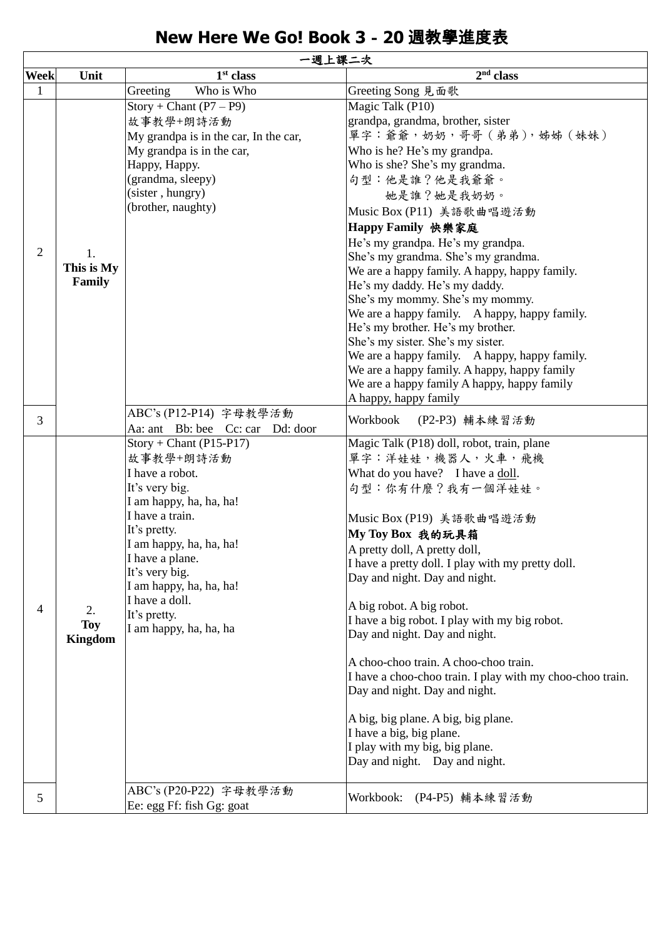## **New Here We Go! Book 3**-**20** 週教學進度表

|                | 一週上課二次                      |                                                                                                                                                                                                                                                                                                  |                                                                                                                                                                                                                                                                                                                                                                                                                                                                                                                                                                                                                                                                                                                                           |  |
|----------------|-----------------------------|--------------------------------------------------------------------------------------------------------------------------------------------------------------------------------------------------------------------------------------------------------------------------------------------------|-------------------------------------------------------------------------------------------------------------------------------------------------------------------------------------------------------------------------------------------------------------------------------------------------------------------------------------------------------------------------------------------------------------------------------------------------------------------------------------------------------------------------------------------------------------------------------------------------------------------------------------------------------------------------------------------------------------------------------------------|--|
| <b>Week</b>    | Unit                        | $1st$ class                                                                                                                                                                                                                                                                                      | $2nd$ class                                                                                                                                                                                                                                                                                                                                                                                                                                                                                                                                                                                                                                                                                                                               |  |
| $\mathbf{1}$   |                             | Who is Who<br>Greeting                                                                                                                                                                                                                                                                           | Greeting Song 見面歌                                                                                                                                                                                                                                                                                                                                                                                                                                                                                                                                                                                                                                                                                                                         |  |
| $\overline{2}$ | 1.<br>This is My<br>Family  | $Story + Chant (P7 – P9)$<br>故事教學+朗詩活動<br>My grandpa is in the car, In the car,<br>My grandpa is in the car,<br>Нарру, Нарру.<br>(grandma, sleepy)<br>(sister, hungry)<br>(brother, naughty)                                                                                                     | Magic Talk (P10)<br>grandpa, grandma, brother, sister<br>單字:爺爺, 奶奶, 哥哥 (弟弟), 姊姊 (妹妹)<br>Who is he? He's my grandpa.<br>Who is she? She's my grandma.<br>句型:他是誰?他是我爺爺。<br>她是誰?她是我奶奶。<br>Music Box (P11) 美語歌曲唱遊活動<br>Happy Family 快樂家庭<br>He's my grandpa. He's my grandpa.<br>She's my grandma. She's my grandma.<br>We are a happy family. A happy, happy family.<br>He's my daddy. He's my daddy.<br>She's my mommy. She's my mommy.<br>We are a happy family. A happy, happy family.<br>He's my brother. He's my brother.<br>She's my sister. She's my sister.<br>We are a happy family. A happy, happy family.<br>We are a happy family. A happy, happy family<br>We are a happy family A happy, happy family<br>A happy, happy family |  |
| 3              |                             | ABC's (P12-P14) 字母教學活動<br>Aa: ant Bb: bee Cc: car Dd: door                                                                                                                                                                                                                                       | Workbook<br>(P2-P3) 輔本練習活動                                                                                                                                                                                                                                                                                                                                                                                                                                                                                                                                                                                                                                                                                                                |  |
| 4              | 2.<br>Toy<br><b>Kingdom</b> | $Story + Chant (P15-P17)$<br>故事教學+朗詩活動<br>I have a robot.<br>It's very big.<br>I am happy, ha, ha, ha!<br>I have a train.<br>It's pretty.<br>I am happy, ha, ha, ha!<br>I have a plane.<br>It's very big.<br>I am happy, ha, ha, ha!<br>I have a doll.<br>It's pretty.<br>I am happy, ha, ha, ha | Magic Talk (P18) doll, robot, train, plane<br>單字:洋娃娃,機器人,火車,飛機<br>What do you have? I have a doll.<br>句型:你有什麼?我有一個洋娃娃。<br>Music Box (P19) 美語歌曲唱遊活動<br>My Toy Box 我的玩具箱<br>A pretty doll, A pretty doll,<br>I have a pretty doll. I play with my pretty doll.<br>Day and night. Day and night.<br>A big robot. A big robot.<br>I have a big robot. I play with my big robot.<br>Day and night. Day and night.<br>A choo-choo train. A choo-choo train.<br>I have a choo-choo train. I play with my choo-choo train.<br>Day and night. Day and night.<br>A big, big plane. A big, big plane.<br>I have a big, big plane.<br>I play with my big, big plane.<br>Day and night. Day and night.                                                 |  |
| 5              |                             | ABC's (P20-P22) 字母教學活動<br>Ee: egg Ff: fish Gg: goat                                                                                                                                                                                                                                              | Workbook:<br>(P4-P5) 輔本練習活動                                                                                                                                                                                                                                                                                                                                                                                                                                                                                                                                                                                                                                                                                                               |  |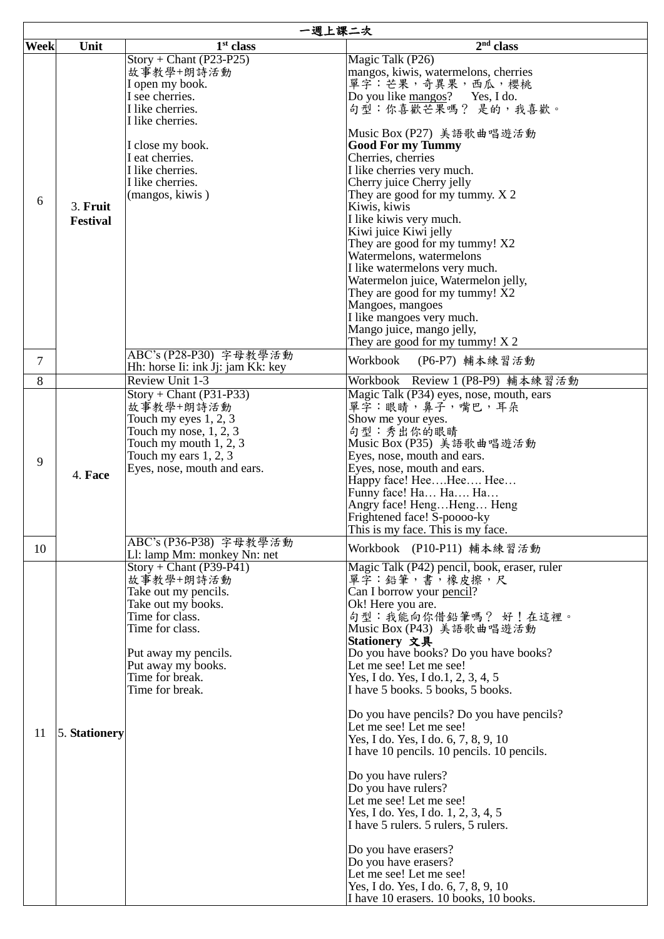|                | 一週上課二次                      |                                                          |                                                                                    |  |
|----------------|-----------------------------|----------------------------------------------------------|------------------------------------------------------------------------------------|--|
| <b>Week</b>    | Unit                        | $1st$ class                                              | 2 <sup>nd</sup> class                                                              |  |
|                |                             | $Story + Chant (P23-P25)$                                | Magic Talk (P26)                                                                   |  |
|                |                             | 故事教學+朗詩活動                                                | mangos, kiwis, watermelons, cherries                                               |  |
|                |                             | I open my book.                                          | 單字: 芒果, 奇異果, 西瓜, 櫻桃                                                                |  |
|                |                             | I see cherries.                                          | Do you like mangos?<br>Yes, I do.                                                  |  |
|                |                             | I like cherries.<br>I like cherries.                     | 句型:你喜歡芒果嗎? 是的,我喜歡。                                                                 |  |
|                |                             |                                                          | Music Box (P27) 美語歌曲唱遊活動                                                           |  |
|                |                             | I close my book.                                         | <b>Good For my Tummy</b>                                                           |  |
|                |                             | I eat cherries.                                          | Cherries, cherries                                                                 |  |
|                |                             | I like cherries.                                         | I like cherries very much.                                                         |  |
|                |                             | I like cherries.                                         | Cherry juice Cherry jelly                                                          |  |
| 6              |                             | (mangos, kiwis)                                          | They are good for my tummy. X 2                                                    |  |
|                | 3. Fruit<br><b>Festival</b> |                                                          | Kiwis, kiwis<br>I like kiwis very much.                                            |  |
|                |                             |                                                          | Kiwi juice Kiwi jelly                                                              |  |
|                |                             |                                                          | They are good for my tummy! X2                                                     |  |
|                |                             |                                                          | Watermelons, watermelons                                                           |  |
|                |                             |                                                          | I like watermelons very much.                                                      |  |
|                |                             |                                                          | Watermelon juice, Watermelon jelly,                                                |  |
|                |                             |                                                          | They are good for my tummy! $\overline{X2}$                                        |  |
|                |                             |                                                          | Mangoes, mangoes<br>I like mangoes very much.                                      |  |
|                |                             |                                                          | Mango juice, mango jelly,                                                          |  |
|                |                             |                                                          | They are good for my tummy! $X$ 2                                                  |  |
| $\overline{7}$ |                             | ABC's (P28-P30) 字母教學活動                                   | Workbook                                                                           |  |
|                |                             | Hh: horse Ii: ink Jj: jam Kk: key                        | (P6-P7) 輔本練習活動                                                                     |  |
| 8              |                             | <b>Review Unit 1-3</b>                                   | Workbook Review 1 (P8-P9) 輔本練習活動                                                   |  |
|                |                             | $Story + Chant (P31-P33)$<br>故事教學+朗詩活動                   | Magic Talk (P34) eyes, nose, mouth, ears<br>單字:眼睛,鼻子,嘴巴,耳朵                         |  |
|                |                             | Touch my eyes $1, 2, 3$                                  | Show me your eyes.                                                                 |  |
|                |                             | Touch my nose, $1, 2, 3$                                 | 句型:秀出你的眼睛                                                                          |  |
|                |                             | Touch my mouth $1, 2, 3$                                 | Music Box (P35) 美語歌曲唱遊活動                                                           |  |
| 9              |                             | Touch my ears $1, 2, 3$                                  | Eyes, nose, mouth and ears.                                                        |  |
|                | 4. Face                     | Eyes, nose, mouth and ears.                              | Eyes, nose, mouth and ears.                                                        |  |
|                |                             |                                                          | Happy face! HeeHee Hee                                                             |  |
|                |                             |                                                          | Funny face! Ha Ha Ha<br>Angry face! HengHeng Heng                                  |  |
|                |                             |                                                          | Frightened face! S-poooo-ky                                                        |  |
|                |                             |                                                          | This is my face. This is my face.                                                  |  |
| 10             |                             | ABC's (P36-P38) 字母教學活動                                   | Workbook (P10-P11) 輔本練習活動                                                          |  |
|                |                             | Ll: lamp Mm: monkey Nn: net<br>$Story + Chant (P39-P41)$ |                                                                                    |  |
|                |                             | 故事教學+朗詩活動                                                | Magic Talk (P42) pencil, book, eraser, ruler<br>單字:鉛筆,書,橡皮擦,尺                      |  |
|                |                             | Take out my pencils.                                     | Can I borrow your pencil?                                                          |  |
|                |                             | Take out my books.                                       | Ok! Here you are.                                                                  |  |
|                |                             | Time for class.                                          | 句型:我能向你借鉛筆嗎? 好!在這裡。                                                                |  |
|                |                             | Time for class.                                          | Music Box (P43) 美語歌曲唱遊活動                                                           |  |
|                |                             |                                                          | Stationery 文具                                                                      |  |
|                |                             | Put away my pencils.<br>Put away my books.               | Do you have books? Do you have books?<br>Let me see! Let me see!                   |  |
|                |                             | Time for break.                                          | Yes, I do. Yes, I do. 1, 2, 3, 4, 5                                                |  |
|                |                             | Time for break.                                          | I have 5 books. 5 books, 5 books.                                                  |  |
|                |                             |                                                          |                                                                                    |  |
|                |                             |                                                          | Do you have pencils? Do you have pencils?                                          |  |
| 11             | 5. Stationery               |                                                          | Let me see! Let me see!                                                            |  |
|                |                             |                                                          | Yes, I do. Yes, I do. 6, 7, 8, 9, 10<br>I have 10 pencils. 10 pencils. 10 pencils. |  |
|                |                             |                                                          |                                                                                    |  |
|                |                             |                                                          | Do you have rulers?                                                                |  |
|                |                             |                                                          | Do you have rulers?                                                                |  |
|                |                             |                                                          | Let me see! Let me see!                                                            |  |
|                |                             |                                                          | Yes, I do. Yes, I do. 1, 2, 3, 4, 5<br>I have 5 rulers. 5 rulers, 5 rulers.        |  |
|                |                             |                                                          |                                                                                    |  |
|                |                             |                                                          | Do you have erasers?                                                               |  |
|                |                             |                                                          | Do you have erasers?                                                               |  |
|                |                             |                                                          | Let me see! Let me see!                                                            |  |
|                |                             |                                                          | Yes, I do. Yes, I do. 6, 7, 8, 9, 10                                               |  |
|                |                             |                                                          | I have 10 erasers. 10 books, 10 books.                                             |  |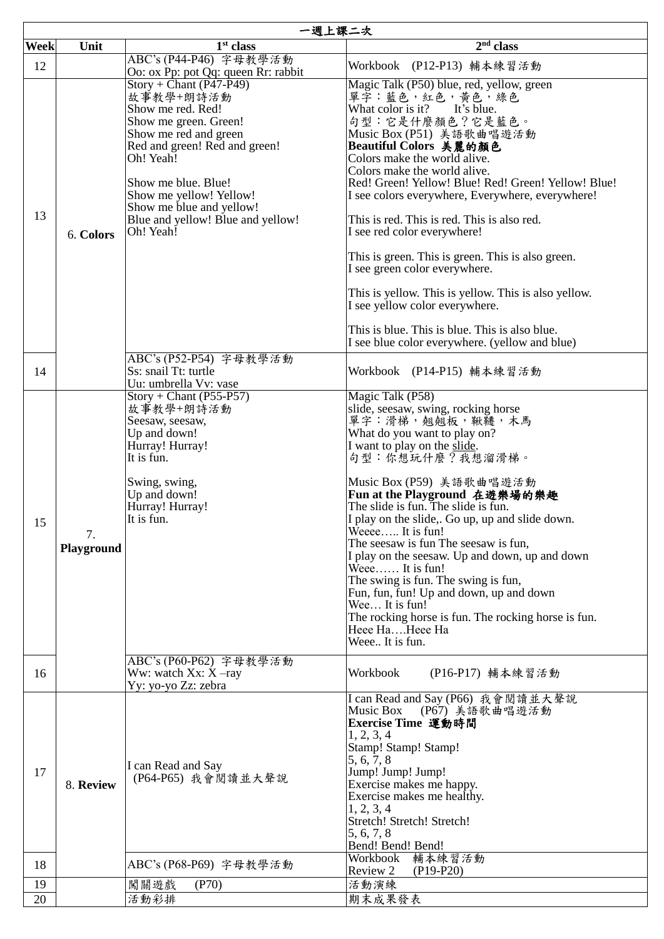|             | 一週上課二次           |                                                                                                                                                                                                                                                                                             |                                                                                                                                                                                                                                                                                                                                                                                                                                                                                                                                                                                                                                                                     |  |
|-------------|------------------|---------------------------------------------------------------------------------------------------------------------------------------------------------------------------------------------------------------------------------------------------------------------------------------------|---------------------------------------------------------------------------------------------------------------------------------------------------------------------------------------------------------------------------------------------------------------------------------------------------------------------------------------------------------------------------------------------------------------------------------------------------------------------------------------------------------------------------------------------------------------------------------------------------------------------------------------------------------------------|--|
| <b>Week</b> | Unit             | $1st$ class                                                                                                                                                                                                                                                                                 | $2nd$ class                                                                                                                                                                                                                                                                                                                                                                                                                                                                                                                                                                                                                                                         |  |
| 12          |                  | ABC's (P44-P46) 字母教學活動<br>Oo: ox Pp: pot Qq: queen Rr: rabbit                                                                                                                                                                                                                               | Workbook (P12-P13) 輔本練習活動                                                                                                                                                                                                                                                                                                                                                                                                                                                                                                                                                                                                                                           |  |
| 13          | 6. Colors        | $Story + Chant (P47-P49)$<br>故事教學+朗詩活動<br>Show me red. Red!<br>Show me green. Green!<br>Show me red and green<br>Red and green! Red and green!<br>Oh! Yeah!<br>Show me blue. Blue!<br>Show me yellow! Yellow!<br>Show me blue and yellow!<br>Blue and yellow! Blue and yellow!<br>Oh! Yeah! | Magic Talk (P50) blue, red, yellow, green<br>單字:藍色, 紅色, 黃色, 綠色<br>What color is it? It's blue.<br>句型:它是什麼顏色?它是藍色。<br>Music Box (P51) 美語歌曲唱遊活動<br> Beautiful Colors 美麗的顏色<br>Colors make the world alive.<br>Colors make the world alive.<br>Red! Green! Yellow! Blue! Red! Green! Yellow! Blue!<br>I see colors everywhere, Everywhere, everywhere!<br>This is red. This is red. This is also red.<br>I see red color everywhere!<br>This is green. This is green. This is also green.<br>I see green color everywhere.<br>This is yellow. This is yellow. This is also yellow.<br>I see yellow color everywhere.<br>This is blue. This is blue. This is also blue. |  |
|             |                  |                                                                                                                                                                                                                                                                                             | I see blue color everywhere. (yellow and blue)                                                                                                                                                                                                                                                                                                                                                                                                                                                                                                                                                                                                                      |  |
| 14          |                  | ABC's (P52-P54) 字母教學活動<br>Ss: snail Tt: turtle<br>Uu: umbrella Vv: vase                                                                                                                                                                                                                     | Workbook (P14-P15) 輔本練習活動                                                                                                                                                                                                                                                                                                                                                                                                                                                                                                                                                                                                                                           |  |
| 15          | 7.<br>Playground | $Story + Chant (P55-P57)$<br>故事教學+朗詩活動<br>Seesaw, seesaw,<br>Up and down!<br>Hurray! Hurray!<br>It is fun.<br>Swing, swing,<br>Up and down!<br>Hurray! Hurray!<br>It is fun.                                                                                                                | Magic Talk (P58)<br>slide, seesaw, swing, rocking horse<br>單字:滑梯,翹翹板,鞦韆,木馬<br>What do you want to play on?<br>I want to play on the slide.<br>句型:你想玩什麼?我想溜滑梯。<br>Music Box (P59) 美語歌曲唱遊活動<br>Fun at the Playground 在遊樂場的樂趣<br>The slide is fun. The slide is fun.<br>I play on the slide,. Go up, up and slide down.<br>Weeee It is fun!<br>The seesaw is fun The seesaw is fun,<br>I play on the seesaw. Up and down, up and down<br>Weee $\ldots$ . It is fun!<br>The swing is fun. The swing is fun,<br>Fun, fun, fun! Up and down, up and down<br>Wee It is fun!<br>The rocking horse is fun. The rocking horse is fun.<br>Heee HaHeee Ha<br>Weee It is fun.    |  |
| 16          |                  | ABC's (P60-P62) 字母教學活動<br>Ww: watch $Xx: X$ -ray<br>Yy: yo-yo Zz: zebra                                                                                                                                                                                                                     | Workbook<br>(P16-P17) 輔本練習活動                                                                                                                                                                                                                                                                                                                                                                                                                                                                                                                                                                                                                                        |  |
| 17          | 8. Review        | I can Read and Say<br>(P64-P65) 我會閱讀並大聲說                                                                                                                                                                                                                                                    | I can Read and Say (P66) 我會閱讀並大聲說<br>(P67) 美語歌曲唱遊活動<br>Music Box<br>Exercise Time 運動時間<br>1, 2, 3, 4<br>Stamp! Stamp! Stamp!<br>5, 6, 7, 8<br>Jump! Jump! Jump!<br>Exercise makes me happy.<br>Exercise makes me healthy.<br>1, 2, 3, 4<br>Stretch! Stretch! Stretch!<br>5, 6, 7, 8<br>Bend! Bend! Bend!                                                                                                                                                                                                                                                                                                                                                            |  |
| 18          |                  | ABC's (P68-P69) 字母教學活動                                                                                                                                                                                                                                                                      | <b>Workbook</b><br>輔本練習活動<br>$(P19-P20)$<br>Review 2                                                                                                                                                                                                                                                                                                                                                                                                                                                                                                                                                                                                                |  |
| 19          |                  | (P70)<br>闖關遊戲                                                                                                                                                                                                                                                                               | 活動演練                                                                                                                                                                                                                                                                                                                                                                                                                                                                                                                                                                                                                                                                |  |
| 20          |                  | 活動彩排                                                                                                                                                                                                                                                                                        | 期末成果發表                                                                                                                                                                                                                                                                                                                                                                                                                                                                                                                                                                                                                                                              |  |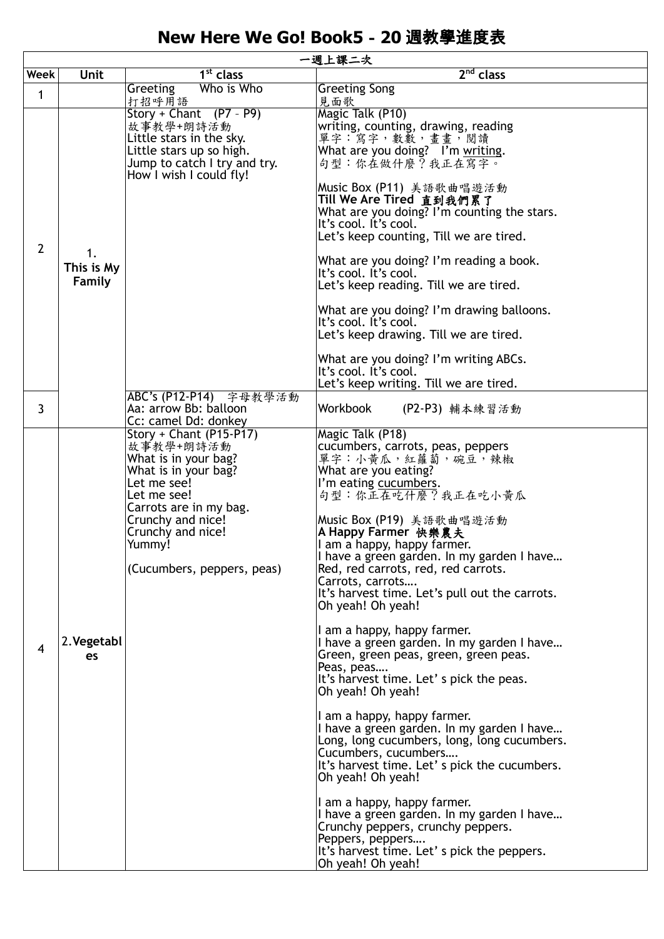## **New Here We Go! Book5**-**20** 週教學進度表

|                | 一週上課二次                     |                                                                                                                                                                                                                                |                                                                                                                                                                                                                                                                                                                                                                                                                                                                                                                                                                                                                                                                                                                                                                                                                                                                                                                                                                                                                                                            |  |  |
|----------------|----------------------------|--------------------------------------------------------------------------------------------------------------------------------------------------------------------------------------------------------------------------------|------------------------------------------------------------------------------------------------------------------------------------------------------------------------------------------------------------------------------------------------------------------------------------------------------------------------------------------------------------------------------------------------------------------------------------------------------------------------------------------------------------------------------------------------------------------------------------------------------------------------------------------------------------------------------------------------------------------------------------------------------------------------------------------------------------------------------------------------------------------------------------------------------------------------------------------------------------------------------------------------------------------------------------------------------------|--|--|
| Week           | Unit                       | $\overline{1^{st}}$ class                                                                                                                                                                                                      | 2 <sup>nd</sup> class                                                                                                                                                                                                                                                                                                                                                                                                                                                                                                                                                                                                                                                                                                                                                                                                                                                                                                                                                                                                                                      |  |  |
| 1              |                            | Who is Who<br>Greeting                                                                                                                                                                                                         | <b>Greeting Song</b>                                                                                                                                                                                                                                                                                                                                                                                                                                                                                                                                                                                                                                                                                                                                                                                                                                                                                                                                                                                                                                       |  |  |
|                |                            | 打招呼用語<br>Story + Chant $(P7 - P9)$                                                                                                                                                                                             | 見面歌<br>Magic Talk (P10)                                                                                                                                                                                                                                                                                                                                                                                                                                                                                                                                                                                                                                                                                                                                                                                                                                                                                                                                                                                                                                    |  |  |
| $\overline{2}$ |                            | 故事教學+朗詩活動<br>Little stars in the sky.<br>Little stars up so high.<br>Jump to catch I try and try.<br>How I wish I could fly!                                                                                                   | writing, counting, drawing, reading<br>單字:寫字,數數,畫畫,閱讀<br>What are you doing? I'm writing.<br>句型:你在做什麼?我正在寫字。                                                                                                                                                                                                                                                                                                                                                                                                                                                                                                                                                                                                                                                                                                                                                                                                                                                                                                                                               |  |  |
|                |                            |                                                                                                                                                                                                                                | Music Box (P11) 美語歌曲唱遊活動<br>Till We Are Tired 直到我們累了<br>What are you doing? I'm counting the stars.<br>It's cool. It's cool.<br>Let's keep counting, Till we are tired.                                                                                                                                                                                                                                                                                                                                                                                                                                                                                                                                                                                                                                                                                                                                                                                                                                                                                    |  |  |
|                | 1.<br>This is My<br>Family |                                                                                                                                                                                                                                | What are you doing? I'm reading a book.<br>It's cool. It's cool.<br>Let's keep reading. Till we are tired.                                                                                                                                                                                                                                                                                                                                                                                                                                                                                                                                                                                                                                                                                                                                                                                                                                                                                                                                                 |  |  |
|                |                            |                                                                                                                                                                                                                                | What are you doing? I'm drawing balloons.<br>It's cool. It's cool.<br>Let's keep drawing. Till we are tired.                                                                                                                                                                                                                                                                                                                                                                                                                                                                                                                                                                                                                                                                                                                                                                                                                                                                                                                                               |  |  |
|                |                            |                                                                                                                                                                                                                                | What are you doing? I'm writing ABCs.<br>It's cool. It's cool.<br>Let's keep writing. Till we are tired.                                                                                                                                                                                                                                                                                                                                                                                                                                                                                                                                                                                                                                                                                                                                                                                                                                                                                                                                                   |  |  |
| 3              |                            | ABC's (P12-P14) 字母教學活動<br>Aa: arrow Bb: balloon<br>Cc: camel Dd: donkey                                                                                                                                                        | Workbook<br>(P2-P3) 輔本練習活動                                                                                                                                                                                                                                                                                                                                                                                                                                                                                                                                                                                                                                                                                                                                                                                                                                                                                                                                                                                                                                 |  |  |
| 4              | 2. Vegetabl<br>es          | Story + Chant (P15-P17)<br>故事教學+朗詩活動<br>What is in your bag?<br>What is in your bag?<br>Let me see!<br>Let me see!<br>Carrots are in my bag.<br>Crunchy and nice!<br>Crunchy and nice!<br>Yummy!<br>(Cucumbers, peppers, peas) | Magic Talk (P18)<br>cucumbers, carrots, peas, peppers<br>單字:小黃瓜,紅蘿蔔,碗豆,辣椒<br>What are you eating?<br>I'm eating cucumbers.<br>句型:你正在吃什麼?我正在吃小黄瓜<br>Music Box (P19) 美語歌曲唱遊活動<br>A Happy Farmer 快樂農夫<br>I am a happy, happy farmer.<br>I have a green garden. In my garden I have<br>Red, red carrots, red, red carrots.<br>Carrots, carrots<br>It's harvest time. Let's pull out the carrots.<br>Oh yeah! Oh yeah!<br>I am a happy, happy farmer.<br>I have a green garden. In my garden I have<br>Green, green peas, green, green peas.<br>Peas, peas<br>It's harvest time. Let' s pick the peas.<br>Oh yeah! Oh yeah!<br>I am a happy, happy farmer.<br>I have a green garden. In my garden I have<br>Long, long cucumbers, long, long cucumbers.<br>Cucumbers, cucumbers<br>It's harvest time. Let' s pick the cucumbers.<br>Oh yeah! Oh yeah!<br>I am a happy, happy farmer.<br>I have a green garden. In my garden I have<br>Crunchy peppers, crunchy peppers.<br>Peppers, peppers<br>It's harvest time. Let' s pick the peppers.<br>Oh yeah! Oh yeah! |  |  |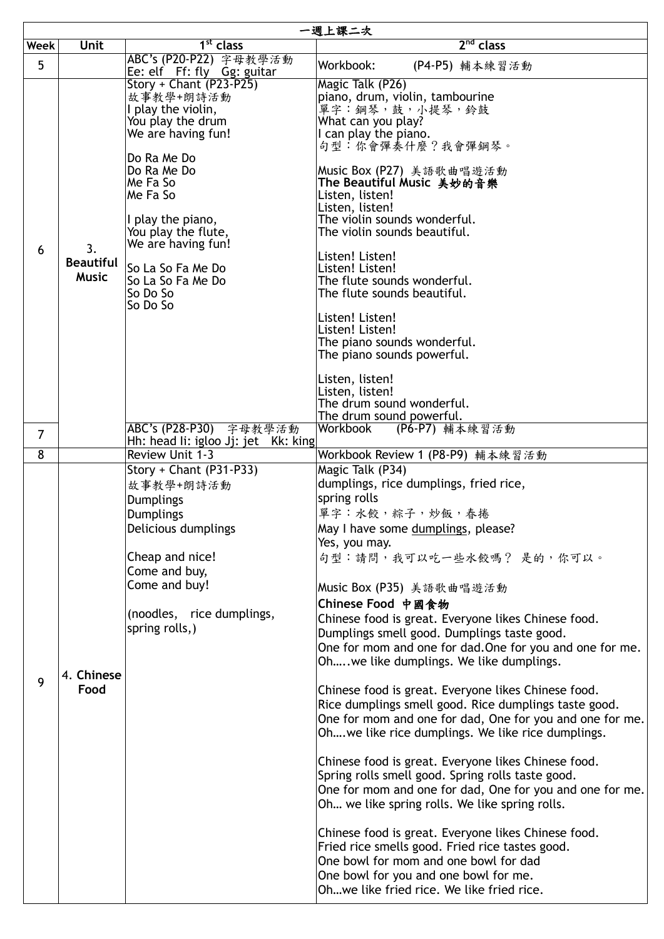|                | 一週上課二次                           |                                                                                                                                                                                                  |                                                                                                                                                                                                                                                                                                                                                                                                                                                                                                                                                                                                                                                                                                                                                                                                                                                                                                                                                                                                                                                                                                                                                       |  |
|----------------|----------------------------------|--------------------------------------------------------------------------------------------------------------------------------------------------------------------------------------------------|-------------------------------------------------------------------------------------------------------------------------------------------------------------------------------------------------------------------------------------------------------------------------------------------------------------------------------------------------------------------------------------------------------------------------------------------------------------------------------------------------------------------------------------------------------------------------------------------------------------------------------------------------------------------------------------------------------------------------------------------------------------------------------------------------------------------------------------------------------------------------------------------------------------------------------------------------------------------------------------------------------------------------------------------------------------------------------------------------------------------------------------------------------|--|
| Week           | Unit                             | 1 <sup>st</sup> class                                                                                                                                                                            | $2nd$ class                                                                                                                                                                                                                                                                                                                                                                                                                                                                                                                                                                                                                                                                                                                                                                                                                                                                                                                                                                                                                                                                                                                                           |  |
| 5              |                                  | ABC's (P20-P22) 字母教學活動<br>Ee: elf Ff: fly Gg: guitar                                                                                                                                             | Workbook:<br>(P4-P5) 輔本練習活動                                                                                                                                                                                                                                                                                                                                                                                                                                                                                                                                                                                                                                                                                                                                                                                                                                                                                                                                                                                                                                                                                                                           |  |
| 6              | 3.                               | Story + Chant (P23-P25)<br>故事教學+朗詩活動<br>I play the violin,<br>You play the drum<br>We are having fun!                                                                                            | Magic Talk (P26)<br>piano, drum, violin, tambourine<br>單字: 鋼琴, 鼓, 小提琴, 鈴鼓<br>What can you play?<br>I can play the piano.                                                                                                                                                                                                                                                                                                                                                                                                                                                                                                                                                                                                                                                                                                                                                                                                                                                                                                                                                                                                                              |  |
|                |                                  | Do Ra Me Do<br>Do Ra Me Do<br>Me Fa So<br>Me Fa So<br>I play the piano,<br>You play the flute,<br>We are having fun!                                                                             | 句型:你會彈奏什麼?我會彈鋼琴。<br>Music Box (P27) 美語歌曲唱遊活動<br>The Beautiful Music 美妙的音樂<br>Listen, listen!<br>Listen, listen!<br>The violin sounds wonderful.<br>The violin sounds beautiful.<br>Listen! Listen!                                                                                                                                                                                                                                                                                                                                                                                                                                                                                                                                                                                                                                                                                                                                                                                                                                                                                                                                                    |  |
|                | <b>Beautiful</b><br><b>Music</b> | So La So Fa Me Do<br>So La So Fa Me Do<br>So Do So<br>So Do So                                                                                                                                   | Listen! Listen!<br>The flute sounds wonderful.<br>The flute sounds beautiful.                                                                                                                                                                                                                                                                                                                                                                                                                                                                                                                                                                                                                                                                                                                                                                                                                                                                                                                                                                                                                                                                         |  |
|                |                                  |                                                                                                                                                                                                  | Listen! Listen!<br>Listen! Listen!<br>The piano sounds wonderful.<br>The piano sounds powerful.                                                                                                                                                                                                                                                                                                                                                                                                                                                                                                                                                                                                                                                                                                                                                                                                                                                                                                                                                                                                                                                       |  |
|                |                                  |                                                                                                                                                                                                  | Listen, listen!<br>Listen, listen!<br>The drum sound wonderful.<br>The drum sound powerful.                                                                                                                                                                                                                                                                                                                                                                                                                                                                                                                                                                                                                                                                                                                                                                                                                                                                                                                                                                                                                                                           |  |
| $\overline{7}$ |                                  | ABC's (P28-P30)<br>字母教學活動<br>Hh: head li: igloo Jj: jet Kk: king                                                                                                                                 | Workbook<br>(P6-P7) 輔本練習活動                                                                                                                                                                                                                                                                                                                                                                                                                                                                                                                                                                                                                                                                                                                                                                                                                                                                                                                                                                                                                                                                                                                            |  |
| 8              |                                  | <b>Review Unit 1-3</b>                                                                                                                                                                           | Workbook Review 1 (P8-P9) 輔本練習活動                                                                                                                                                                                                                                                                                                                                                                                                                                                                                                                                                                                                                                                                                                                                                                                                                                                                                                                                                                                                                                                                                                                      |  |
| 9              | 4. Chinese<br>Food               | Story + Chant (P31-P33)<br>故事教學+朗詩活動<br>Dumplings<br><b>Dumplings</b><br>Delicious dumplings<br>Cheap and nice!<br>Come and buy,<br>Come and buy!<br>(noodles, rice dumplings,<br>spring rolls,) | Magic Talk (P34)<br>dumplings, rice dumplings, fried rice,<br>spring rolls<br>單字:水餃,粽子,炒飯,春捲<br>May I have some dumplings, please?<br>Yes, you may.<br>句型:請問,我可以吃一些水餃嗎? 是的,你可以。<br>Music Box (P35) 美語歌曲唱遊活動<br>Chinese Food 中國食物<br>Chinese food is great. Everyone likes Chinese food.<br>Dumplings smell good. Dumplings taste good.<br>One for mom and one for dad. One for you and one for me.<br>Oh . we like dumplings. We like dumplings.<br>Chinese food is great. Everyone likes Chinese food.<br>Rice dumplings smell good. Rice dumplings taste good.<br>One for mom and one for dad, One for you and one for me.<br>Oh we like rice dumplings. We like rice dumplings.<br>Chinese food is great. Everyone likes Chinese food.<br>Spring rolls smell good. Spring rolls taste good.<br>One for mom and one for dad, One for you and one for me.<br>Oh we like spring rolls. We like spring rolls.<br>Chinese food is great. Everyone likes Chinese food.<br>Fried rice smells good. Fried rice tastes good.<br>One bowl for mom and one bowl for dad<br>One bowl for you and one bowl for me.<br>Ohwe like fried rice. We like fried rice. |  |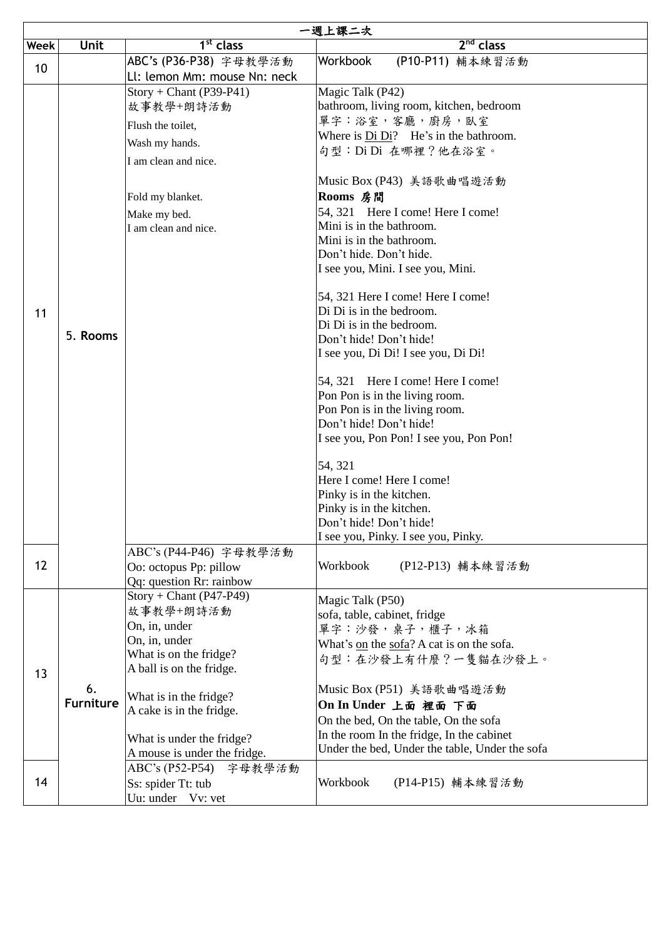|      | 一週上課二次           |                                                           |                                                                |
|------|------------------|-----------------------------------------------------------|----------------------------------------------------------------|
| Week | Unit             | 1 <sup>st</sup> class                                     | $2nd$ class                                                    |
| 10   |                  | ABC's (P36-P38) 字母教學活動                                    | Workbook<br>(P10-P11) 輔本練習活動                                   |
|      |                  | Ll: lemon Mm: mouse Nn: neck<br>$Story + Chant (P39-P41)$ |                                                                |
|      |                  | 故事教學+朗詩活動                                                 | Magic Talk (P42)<br>bathroom, living room, kitchen, bedroom    |
|      |                  |                                                           | 單字:浴室,客廳,廚房,臥室                                                 |
|      |                  | Flush the toilet,                                         | Where is Di Di? He's in the bathroom.                          |
|      |                  | Wash my hands.                                            | 句型: Di Di 在哪裡?他在浴室。                                            |
|      |                  | I am clean and nice.                                      |                                                                |
|      |                  |                                                           | Music Box (P43) 美語歌曲唱遊活動                                       |
|      |                  | Fold my blanket.                                          | Rooms 房間                                                       |
|      |                  | Make my bed.                                              | 54, 321 Here I come! Here I come!                              |
|      |                  | I am clean and nice.                                      | Mini is in the bathroom.                                       |
|      |                  |                                                           | Mini is in the bathroom.                                       |
|      |                  |                                                           | Don't hide. Don't hide.                                        |
|      |                  |                                                           | I see you, Mini. I see you, Mini.                              |
|      |                  |                                                           | 54, 321 Here I come! Here I come!                              |
| 11   |                  |                                                           | Di Di is in the bedroom.                                       |
|      | 5. Rooms         |                                                           | Di Di is in the bedroom.                                       |
|      |                  |                                                           | Don't hide! Don't hide!                                        |
|      |                  |                                                           | I see you, Di Di! I see you, Di Di!                            |
|      |                  |                                                           | 54, 321 Here I come! Here I come!                              |
|      |                  |                                                           | Pon Pon is in the living room.                                 |
|      |                  |                                                           | Pon Pon is in the living room.                                 |
|      |                  |                                                           | Don't hide! Don't hide!                                        |
|      |                  |                                                           | I see you, Pon Pon! I see you, Pon Pon!                        |
|      |                  |                                                           | 54, 321                                                        |
|      |                  |                                                           | Here I come! Here I come!                                      |
|      |                  |                                                           | Pinky is in the kitchen.                                       |
|      |                  |                                                           | Pinky is in the kitchen.                                       |
|      |                  |                                                           | Don't hide! Don't hide!<br>I see you, Pinky. I see you, Pinky. |
|      |                  | ABC's (P44-P46) 字母教學活動                                    |                                                                |
| 12   |                  | Oo: octopus Pp: pillow                                    | Workbook<br>(P12-P13) 輔本練習活動                                   |
|      |                  | Qq: question Rr: rainbow                                  |                                                                |
|      |                  | $Story + Chant (P47-P49)$                                 | Magic Talk (P50)                                               |
|      |                  | 故事教學+朗詩活動                                                 | sofa, table, cabinet, fridge                                   |
|      |                  | On, in, under                                             | 單字:沙發, 桌子, 櫃子, 冰箱                                              |
|      |                  | On, in, under                                             | What's on the sofa? A cat is on the sofa.                      |
|      |                  | What is on the fridge?                                    | 句型:在沙發上有什麼?一隻貓在沙發上。                                            |
| 13   |                  | A ball is on the fridge.                                  |                                                                |
|      | 6.               | What is in the fridge?                                    | Music Box (P51) 美語歌曲唱遊活動                                       |
|      | <b>Furniture</b> | A cake is in the fridge.                                  | On In Under 上面 裡面 下面                                           |
|      |                  |                                                           | On the bed, On the table, On the sofa                          |
|      |                  | What is under the fridge?                                 | In the room In the fridge, In the cabinet                      |
|      |                  | A mouse is under the fridge.                              | Under the bed, Under the table, Under the sofa                 |
|      |                  | ABC's (P52-P54)<br>字母教學活動                                 |                                                                |
| 14   |                  | Ss: spider Tt: tub                                        | Workbook<br>(P14-P15) 輔本練習活動                                   |
|      |                  | Uu: under Vv: vet                                         |                                                                |